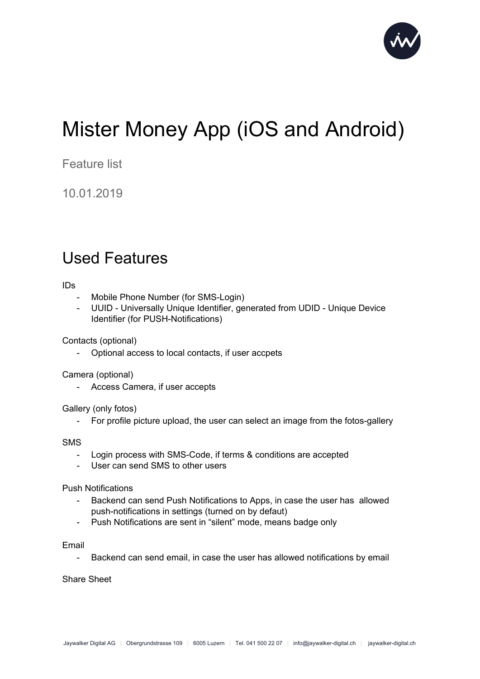

## Mister Money App (iOS and Android)

Feature list

10.01.2019

## Used Features

IDs

- Mobile Phone Number (for SMS-Login)
- UUID Universally Unique Identifier, generated from UDID Unique Device Identifier (for PUSH-Notifications)

Contacts (optional)

- Optional access to local contacts, if user accpets

Camera (optional)

- Access Camera, if user accepts

Gallery (only fotos)

- For profile picture upload, the user can select an image from the fotos-gallery

SMS

- Login process with SMS-Code, if terms & conditions are accepted
- User can send SMS to other users

Push Notifications

- Backend can send Push Notifications to Apps, in case the user has allowed push-notifications in settings (turned on by defaut)
- Push Notifications are sent in "silent" mode, means badge only

Email

- Backend can send email, in case the user has allowed notifications by email

Share Sheet